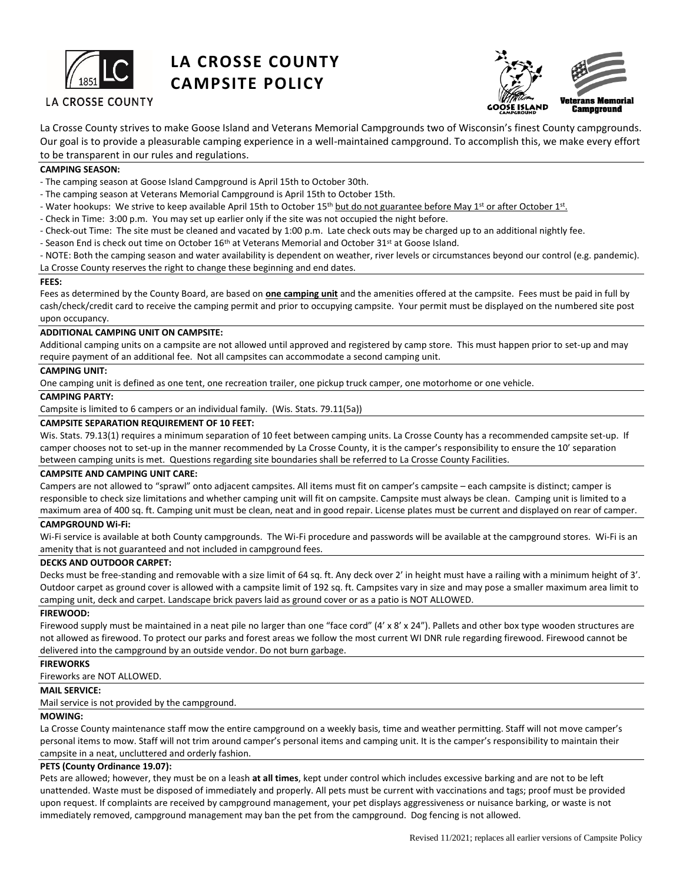

# **LA CROSSE COUNTY CAMPSITE POLICY**





La Crosse County strives to make Goose Island and Veterans Memorial Campgrounds two of Wisconsin's finest County campgrounds. Our goal is to provide a pleasurable camping experience in a well-maintained campground. To accomplish this, we make every effort to be transparent in our rules and regulations.

# **CAMPING SEASON:**

- The camping season at Goose Island Campground is April 15th to October 30th.

- The camping season at Veterans Memorial Campground is April 15th to October 15th.

- Water hookups: We strive to keep available April 15th to October 15<sup>th</sup> but do not guarantee before May 1<sup>st</sup> or after October 1<sup>st</sup>.
- Check in Time: 3:00 p.m. You may set up earlier only if the site was not occupied the night before.
- Check-out Time: The site must be cleaned and vacated by 1:00 p.m. Late check outs may be charged up to an additional nightly fee.
- Season End is check out time on October 16<sup>th</sup> at Veterans Memorial and October 31<sup>st</sup> at Goose Island.

- NOTE: Both the camping season and water availability is dependent on weather, river levels or circumstances beyond our control (e.g. pandemic). La Crosse County reserves the right to change these beginning and end dates.

## **FEES:**

Fees as determined by the County Board, are based on **one camping unit** and the amenities offered at the campsite. Fees must be paid in full by cash/check/credit card to receive the camping permit and prior to occupying campsite. Your permit must be displayed on the numbered site post upon occupancy.

## **ADDITIONAL CAMPING UNIT ON CAMPSITE:**

Additional camping units on a campsite are not allowed until approved and registered by camp store. This must happen prior to set-up and may require payment of an additional fee. Not all campsites can accommodate a second camping unit.

# **CAMPING UNIT:**

One camping unit is defined as one tent, one recreation trailer, one pickup truck camper, one motorhome or one vehicle.

# **CAMPING PARTY:**

Campsite is limited to 6 campers or an individual family. (Wis. Stats. 79.11(5a))

## **CAMPSITE SEPARATION REQUIREMENT OF 10 FEET:**

Wis. Stats. 79.13(1) requires a minimum separation of 10 feet between camping units. La Crosse County has a recommended campsite set-up. If camper chooses not to set-up in the manner recommended by La Crosse County, it is the camper's responsibility to ensure the 10' separation between camping units is met. Questions regarding site boundaries shall be referred to La Crosse County Facilities.

#### **CAMPSITE AND CAMPING UNIT CARE:**

Campers are not allowed to "sprawl" onto adjacent campsites. All items must fit on camper's campsite – each campsite is distinct; camper is responsible to check size limitations and whether camping unit will fit on campsite. Campsite must always be clean. Camping unit is limited to a maximum area of 400 sq. ft. Camping unit must be clean, neat and in good repair. License plates must be current and displayed on rear of camper.

#### **CAMPGROUND Wi-Fi:**

Wi-Fi service is available at both County campgrounds. The Wi-Fi procedure and passwords will be available at the campground stores. Wi-Fi is an amenity that is not guaranteed and not included in campground fees.

#### **DECKS AND OUTDOOR CARPET:**

Decks must be free-standing and removable with a size limit of 64 sq. ft. Any deck over 2' in height must have a railing with a minimum height of 3'. Outdoor carpet as ground cover is allowed with a campsite limit of 192 sq. ft. Campsites vary in size and may pose a smaller maximum area limit to camping unit, deck and carpet. Landscape brick pavers laid as ground cover or as a patio is NOT ALLOWED.

#### **FIREWOOD:**

Firewood supply must be maintained in a neat pile no larger than one "face cord" (4' x 8' x 24"). Pallets and other box type wooden structures are not allowed as firewood. To protect our parks and forest areas we follow the most current WI DNR rule regarding firewood. Firewood cannot be delivered into the campground by an outside vendor. Do not burn garbage.

### **FIREWORKS**

Fireworks are NOT ALLOWED.

# **MAIL SERVICE:**

Mail service is not provided by the campground.

### **MOWING:**

La Crosse County maintenance staff mow the entire campground on a weekly basis, time and weather permitting. Staff will not move camper's personal items to mow. Staff will not trim around camper's personal items and camping unit. It is the camper's responsibility to maintain their campsite in a neat, uncluttered and orderly fashion.

#### **PETS (County Ordinance 19.07):**

Pets are allowed; however, they must be on a leash **at all times**, kept under control which includes excessive barking and are not to be left unattended. Waste must be disposed of immediately and properly. All pets must be current with vaccinations and tags; proof must be provided upon request. If complaints are received by campground management, your pet displays aggressiveness or nuisance barking, or waste is not immediately removed, campground management may ban the pet from the campground. Dog fencing is not allowed.